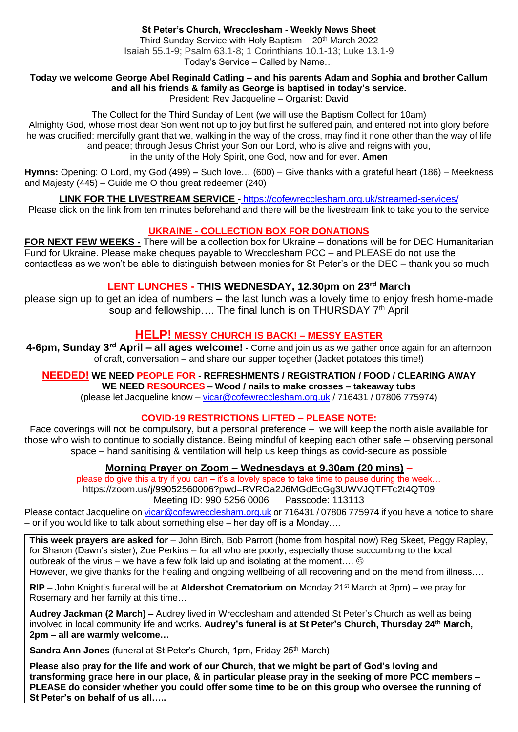#### **Today we welcome George Abel Reginald Catling – and his parents Adam and Sophia and brother Callum and all his friends & family as George is baptised in today's service.**

President: Rev Jacqueline – Organist: David

The Collect for the Third Sunday of Lent (we will use the Baptism Collect for 10am) Almighty God, whose most dear Son went not up to joy but first he suffered pain, and entered not into glory before he was crucified: mercifully grant that we, walking in the way of the cross, may find it none other than the way of life and peace; through Jesus Christ your Son our Lord, who is alive and reigns with you, in the unity of the Holy Spirit, one God, now and for ever. **Amen**

**Hymns:** Opening: O Lord, my God (499) **–** Such love… (600) – Give thanks with a grateful heart (186) – Meekness and Majesty (445) – Guide me O thou great redeemer (240)

### **LINK FOR THE LIVESTREAM SERVICE** - <https://cofewrecclesham.org.uk/streamed-services/>

Please click on the link from ten minutes beforehand and there will be the livestream link to take you to the service

### **UKRAINE - COLLECTION BOX FOR DONATIONS**

**FOR NEXT FEW WEEKS -** There will be a collection box for Ukraine – donations will be for DEC Humanitarian Fund for Ukraine. Please make cheques payable to Wrecclesham PCC – and PLEASE do not use the contactless as we won't be able to distinguish between monies for St Peter's or the DEC – thank you so much

## **LENT LUNCHES - THIS WEDNESDAY, 12.30pm on 23rd March**

please sign up to get an idea of numbers – the last lunch was a lovely time to enjoy fresh home-made soup and fellowship.... The final lunch is on THURSDAY 7<sup>th</sup> April

# **HELP! MESSY CHURCH IS BACK! – MESSY EASTER**

**4-6pm, Sunday 3rd April – all ages welcome! -** Come and join us as we gather once again for an afternoon of craft, conversation – and share our supper together (Jacket potatoes this time!)

# **NEEDED! WE NEED PEOPLE FOR - REFRESHMENTS / REGISTRATION / FOOD / CLEARING AWAY**

**WE NEED RESOURCES – Wood / nails to make crosses – takeaway tubs**

(please let Jacqueline know – [vicar@cofewrecclesham.org.uk](mailto:vicar@cofewrecclesham.org.uk) / 716431 / 07806 775974)

# **COVID-19 RESTRICTIONS LIFTED – PLEASE NOTE:**

Face coverings will not be compulsory, but a personal preference – we will keep the north aisle available for those who wish to continue to socially distance. Being mindful of keeping each other safe – observing personal space – hand sanitising & ventilation will help us keep things as covid-secure as possible

# **Morning Prayer on Zoom – Wednesdays at 9.30am (20 mins)** –

please do give this a try if you can – it's a lovely space to take time to pause during the week… https://zoom.us/j/99052560006?pwd=RVROa2J6MGdEcGg3UWVJQTFTc2t4QT09 Meeting ID: 990 5256 0006 Passcode: 113113

Please contact Jacqueline on [vicar@cofewrecclesham.org.uk](mailto:vicar@cofewrecclesham.org.uk) or 716431 / 07806 775974 if you have a notice to share – or if you would like to talk about something else – her day off is a Monday….

**This week prayers are asked for** – John Birch, Bob Parrott (home from hospital now) Reg Skeet, Peggy Rapley, for Sharon (Dawn's sister), Zoe Perkins – for all who are poorly, especially those succumbing to the local outbreak of the virus – we have a few folk laid up and isolating at the moment....  $\otimes$ However, we give thanks for the healing and ongoing wellbeing of all recovering and on the mend from illness….

**RIP** – John Knight's funeral will be at **Aldershot Crematorium on** Monday 21st March at 3pm) – we pray for Rosemary and her family at this time…

**Audrey Jackman (2 March) –** Audrey lived in Wrecclesham and attended St Peter's Church as well as being involved in local community life and works. **Audrey's funeral is at St Peter's Church, Thursday 24th March, 2pm – all are warmly welcome…**

**Sandra Ann Jones** (funeral at St Peter's Church, 1pm, Friday 25<sup>th</sup> March)

**Please also pray for the life and work of our Church, that we might be part of God's loving and transforming grace here in our place, & in particular please pray in the seeking of more PCC members – PLEASE do consider whether you could offer some time to be on this group who oversee the running of St Peter's on behalf of us all…..**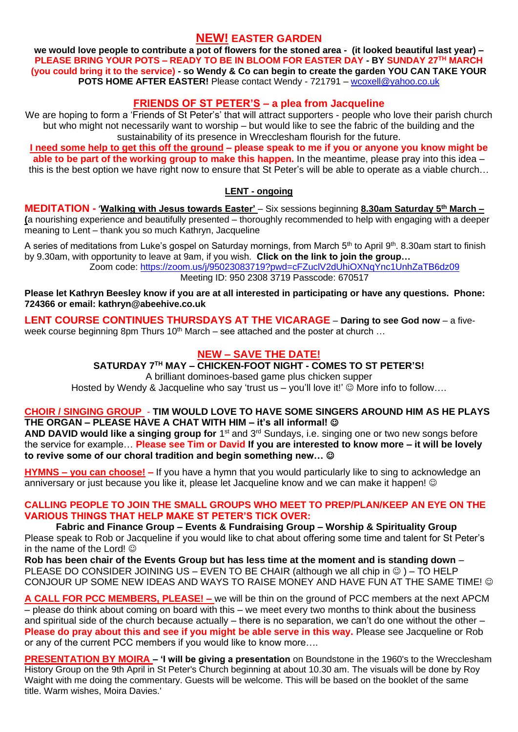### **NEW! EASTER GARDEN**

**we would love people to contribute a pot of flowers for the stoned area - (it looked beautiful last year) – PLEASE BRING YOUR POTS – READY TO BE IN BLOOM FOR EASTER DAY - BY SUNDAY 27TH MARCH (you could bring it to the service) - so Wendy & Co can begin to create the garden YOU CAN TAKE YOUR POTS HOME AFTER EASTER!** Please contact Wendy - 721791 – [wcoxell@yahoo.co.uk](mailto:wcoxell@yahoo.co.uk)

## **FRIENDS OF ST PETER'S – a plea from Jacqueline**

We are hoping to form a 'Friends of St Peter's' that will attract supporters - people who love their parish church but who might not necessarily want to worship – but would like to see the fabric of the building and the sustainability of its presence in Wrecclesham flourish for the future.

**I need some help to get this off the ground – please speak to me if you or anyone you know might be able to be part of the working group to make this happen.** In the meantime, please pray into this idea – this is the best option we have right now to ensure that St Peter's will be able to operate as a viable church…

### **LENT - ongoing**

**MEDITATION** - 'Walking with Jesus towards Easter' – Six sessions beginning 8.30am Saturday 5<sup>th</sup> March – **(**a nourishing experience and beautifully presented – thoroughly recommended to help with engaging with a deeper meaning to Lent – thank you so much Kathryn, Jacqueline

A series of meditations from Luke's gospel on Saturday mornings, from March 5<sup>th</sup> to April 9<sup>th</sup>, 8.30am start to finish by 9.30am, with opportunity to leave at 9am, if you wish. **Click on the link to join the group…** 

Zoom code:<https://zoom.us/j/95023083719?pwd=cFZuclV2dUhiOXNqYnc1UnhZaTB6dz09> Meeting ID: 950 2308 3719 Passcode: 670517

**Please let Kathryn Beesley know if you are at all interested in participating or have any questions. Phone: 724366 or email: kathryn@abeehive.co.uk**

**LENT COURSE CONTINUES THURSDAYS AT THE VICARAGE** – **Daring to see God now** – a fiveweek course beginning 8pm Thurs  $10<sup>th</sup>$  March – see attached and the poster at church ...

## **NEW – SAVE THE DATE!**

**SATURDAY 7TH MAY – CHICKEN-FOOT NIGHT - COMES TO ST PETER'S!**

A brilliant dominoes-based game plus chicken supper

Hosted by Wendy & Jacqueline who say 'trust us – you'll love it!'  $\odot$  More info to follow....

#### **CHOIR / SINGING GROUP** - **TIM WOULD LOVE TO HAVE SOME SINGERS AROUND HIM AS HE PLAYS THE ORGAN – PLEASE HAVE A CHAT WITH HIM – it's all informal!** ☺

AND DAVID would like a singing group for 1<sup>st</sup> and 3<sup>rd</sup> Sundays, i.e. singing one or two new songs before the service for example… **Please see Tim or David If you are interested to know more – it will be lovely to revive some of our choral tradition and begin something new…** ☺

**HYMNS – you can choose! –** If you have a hymn that you would particularly like to sing to acknowledge an anniversary or just because you like it, please let Jacqueline know and we can make it happen!  $\odot$ 

#### **CALLING PEOPLE TO JOIN THE SMALL GROUPS WHO MEET TO PREP/PLAN/KEEP AN EYE ON THE VARIOUS THINGS THAT HELP MAKE ST PETER'S TICK OVER:**

**Fabric and Finance Group – Events & Fundraising Group – Worship & Spirituality Group** Please speak to Rob or Jacqueline if you would like to chat about offering some time and talent for St Peter's in the name of the Lord!  $\odot$ 

**Rob has been chair of the Events Group but has less time at the moment and is standing down** – PLEASE DO CONSIDER JOINING US – EVEN TO BE CHAIR (although we all chip in  $\circledcirc$ ) – TO HELP CONJOUR UP SOME NEW IDEAS AND WAYS TO RAISE MONEY AND HAVE FUN AT THE SAME TIME!  $\odot$ 

**A CALL FOR PCC MEMBERS, PLEASE! –** we will be thin on the ground of PCC members at the next APCM – please do think about coming on board with this – we meet every two months to think about the business and spiritual side of the church because actually – there is no separation, we can't do one without the other – **Please do pray about this and see if you might be able serve in this way.** Please see Jacqueline or Rob or any of the current PCC members if you would like to know more….

**PRESENTATION BY MOIRA – 'I will be giving a presentation** on Boundstone in the 1960's to the Wrecclesham History Group on the 9th April in St Peter's Church beginning at about 10.30 am. The visuals will be done by Roy Waight with me doing the commentary. Guests will be welcome. This will be based on the booklet of the same title. Warm wishes, Moira Davies.'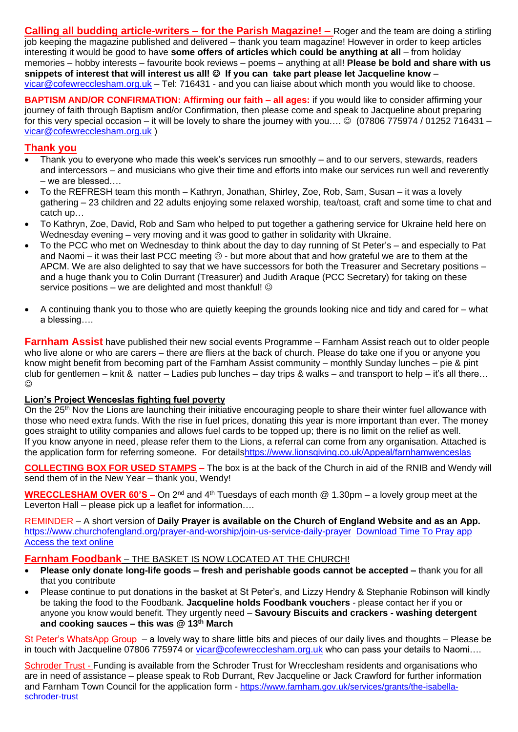**Calling all budding article-writers – for the Parish Magazine! –** Roger and the team are doing a stirling job keeping the magazine published and delivered – thank you team magazine! However in order to keep articles interesting it would be good to have **some offers of articles which could be anything at all** – from holiday memories – hobby interests – favourite book reviews – poems – anything at all! **Please be bold and share with us snippets of interest that will interest us all!** ☺ **If you can take part please let Jacqueline know** – [vicar@cofewrecclesham.org.uk](mailto:vicar@cofewrecclesham.org.uk) – Tel: 716431 - and you can liaise about which month you would like to choose.

**BAPTISM AND/OR CONFIRMATION: Affirming our faith – all ages:** if you would like to consider affirming your journey of faith through Baptism and/or Confirmation, then please come and speak to Jacqueline about preparing for this very special occasion – it will be lovely to share the journey with you....  $\circledcirc$  (07806 775974 / 01252 716431 – [vicar@cofewrecclesham.org.uk](mailto:vicar@cofewrecclesham.org.uk) )

### **Thank you**

- Thank you to everyone who made this week's services run smoothly and to our servers, stewards, readers and intercessors – and musicians who give their time and efforts into make our services run well and reverently – we are blessed….
- To the REFRESH team this month Kathryn, Jonathan, Shirley, Zoe, Rob, Sam, Susan it was a lovely gathering – 23 children and 22 adults enjoying some relaxed worship, tea/toast, craft and some time to chat and catch up…
- To Kathryn, Zoe, David, Rob and Sam who helped to put together a gathering service for Ukraine held here on Wednesday evening – very moving and it was good to gather in solidarity with Ukraine.
- To the PCC who met on Wednesday to think about the day to day running of St Peter's and especially to Pat and Naomi – it was their last PCC meeting  $\odot$  - but more about that and how grateful we are to them at the APCM. We are also delighted to say that we have successors for both the Treasurer and Secretary positions – and a huge thank you to Colin Durrant (Treasurer) and Judith Araque (PCC Secretary) for taking on these service positions – we are delighted and most thankful!  $\odot$
- A continuing thank you to those who are quietly keeping the grounds looking nice and tidy and cared for what a blessing….

**Farnham Assist** have published their new social events Programme – Farnham Assist reach out to older people who live alone or who are carers – there are fliers at the back of church. Please do take one if you or anyone you know might benefit from becoming part of the Farnham Assist community – monthly Sunday lunches – pie & pint club for gentlemen – knit & natter – Ladies pub lunches – day trips & walks – and transport to help – it's all there…  $\odot$ 

#### **Lion's Project Wenceslas fighting fuel poverty**

On the 25<sup>th</sup> Nov the Lions are launching their initiative encouraging people to share their winter fuel allowance with those who need extra funds. With the rise in fuel prices, donating this year is more important than ever. The money goes straight to utility companies and allows fuel cards to be topped up; there is no limit on the relief as well. If you know anyone in need, please refer them to the Lions, a referral can come from any organisation. Attached is the application form for referring someone. For detail[shttps://www.lionsgiving.co.uk/Appeal/farnhamwenceslas](https://www.lionsgiving.co.uk/Appeal/farnhamwenceslas)

**COLLECTING BOX FOR USED STAMPS –** The box is at the back of the Church in aid of the RNIB and Wendy will send them of in the New Year – thank you, Wendy!

**WRECCLESHAM OVER 60'S –** On 2nd and 4th Tuesdays of each month @ 1.30pm – a lovely group meet at the Leverton Hall – please pick up a leaflet for information….

REMINDER – A short version of **Daily Prayer is available on the Church of England Website and as an App.** <https://www.churchofengland.org/prayer-and-worship/join-us-service-daily-prayer> [Download Time To Pray app](https://www.chpublishing.co.uk/apps/time-to-pray)  [Access the text online](https://www.churchofengland.org/prayer-and-worship/join-us-in-daily-prayer/prayer-during-day-contemporary-Saturday-30-January-2021)

#### **Farnham Foodbank** – THE BASKET IS NOW LOCATED AT THE CHURCH!

- **Please only donate long-life goods – fresh and perishable goods cannot be accepted –** thank you for all that you contribute
- Please continue to put donations in the basket at St Peter's, and Lizzy Hendry & Stephanie Robinson will kindly be taking the food to the Foodbank. **Jacqueline holds Foodbank vouchers** - please contact her if you or anyone you know would benefit. They urgently need – **Savoury Biscuits and crackers - washing detergent and cooking sauces – this was @ 13th March**

St Peter's WhatsApp Group – a lovely way to share little bits and pieces of our daily lives and thoughts – Please be in touch with Jacqueline 07806 775974 or [vicar@cofewrecclesham.org.uk](mailto:vicar@cofewrecclesham.org.uk) who can pass your details to Naomi....

Schroder Trust - Funding is available from the Schroder Trust for Wrecclesham residents and organisations who are in need of assistance – please speak to Rob Durrant, Rev Jacqueline or Jack Crawford for further information and Farnham Town Council for the application form - [https://www.farnham.gov.uk/services/grants/the-isabella](https://www.farnham.gov.uk/services/grants/the-isabella-schroder-trust)[schroder-trust](https://www.farnham.gov.uk/services/grants/the-isabella-schroder-trust)